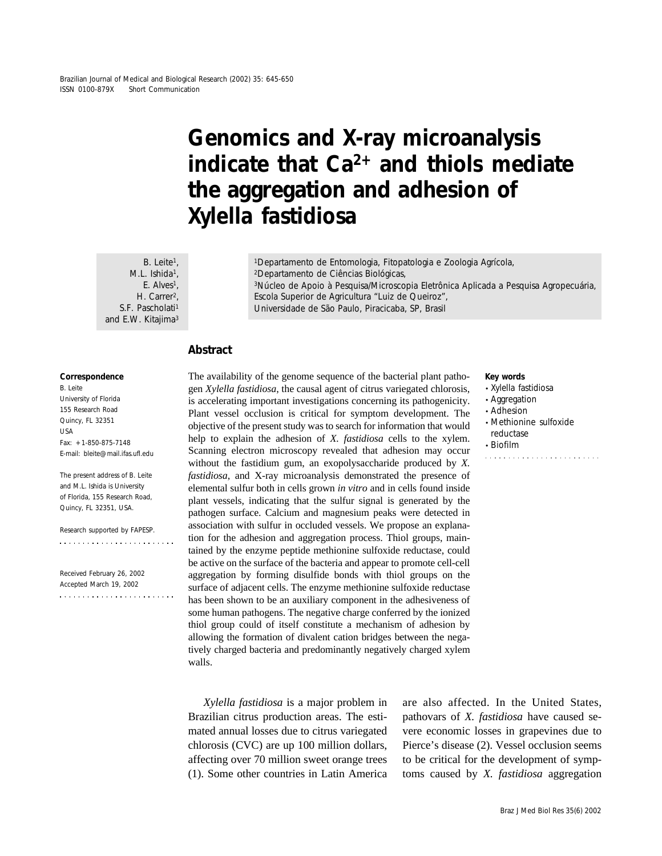# **Genomics and X-ray microanalysis indicate that Ca2+ and thiols mediate the aggregation and adhesion of** *Xylella fastidiosa*

 $B.$  Leite<sup>1</sup>, M.L. Ishida<sup>1</sup>, E. Alves<sup>1</sup>. H. Carrer<sup>2</sup>. S.F. Pascholati<sup>1</sup> and E.W. Kitajima<sup>3</sup>

<sup>1</sup>Departamento de Entomologia, Fitopatologia e Zoologia Agrícola, 2Departamento de Ciências Biológicas, 3Núcleo de Apoio à Pesquisa/Microscopia Eletrônica Aplicada a Pesquisa Agropecuária, Escola Superior de Agricultura "Luiz de Queiroz", Universidade de São Paulo, Piracicaba, SP, Brasil

# **Abstract**

#### **Correspondence**

B. Leite University of Florida 155 Research Road Quincy, FL 32351 USA Fax: +1-850-875-7148 E-mail: bleite@mail.ifas.ufl.edu

The present address of B. Leite and M.L. Ishida is University of Florida, 155 Research Road, Quincy, FL 32351, USA.

Research supported by FAPESP. 

Received February 26, 2002 Accepted March 19, 2002  The availability of the genome sequence of the bacterial plant pathogen *Xylella fastidiosa*, the causal agent of citrus variegated chlorosis, is accelerating important investigations concerning its pathogenicity. Plant vessel occlusion is critical for symptom development. The objective of the present study was to search for information that would help to explain the adhesion of *X. fastidiosa* cells to the xylem. Scanning electron microscopy revealed that adhesion may occur without the fastidium gum, an exopolysaccharide produced by *X. fastidiosa*, and X-ray microanalysis demonstrated the presence of elemental sulfur both in cells grown *in vitro* and in cells found inside plant vessels, indicating that the sulfur signal is generated by the pathogen surface. Calcium and magnesium peaks were detected in association with sulfur in occluded vessels. We propose an explanation for the adhesion and aggregation process. Thiol groups, maintained by the enzyme peptide methionine sulfoxide reductase, could be active on the surface of the bacteria and appear to promote cell-cell aggregation by forming disulfide bonds with thiol groups on the surface of adjacent cells. The enzyme methionine sulfoxide reductase has been shown to be an auxiliary component in the adhesiveness of some human pathogens. The negative charge conferred by the ionized thiol group could of itself constitute a mechanism of adhesion by allowing the formation of divalent cation bridges between the negatively charged bacteria and predominantly negatively charged xylem walls.

*Xylella fastidiosa* is a major problem in Brazilian citrus production areas. The estimated annual losses due to citrus variegated chlorosis (CVC) are up 100 million dollars, affecting over 70 million sweet orange trees (1). Some other countries in Latin America are also affected. In the United States, pathovars of *X. fastidiosa* have caused severe economic losses in grapevines due to Pierce's disease (2). Vessel occlusion seems to be critical for the development of symptoms caused by *X. fastidiosa* aggregation

#### **Key words**

- *Xylella fastidiosa*
- Aggregation
- Adhesion
- Methionine sulfoxide reductase
- Biofilm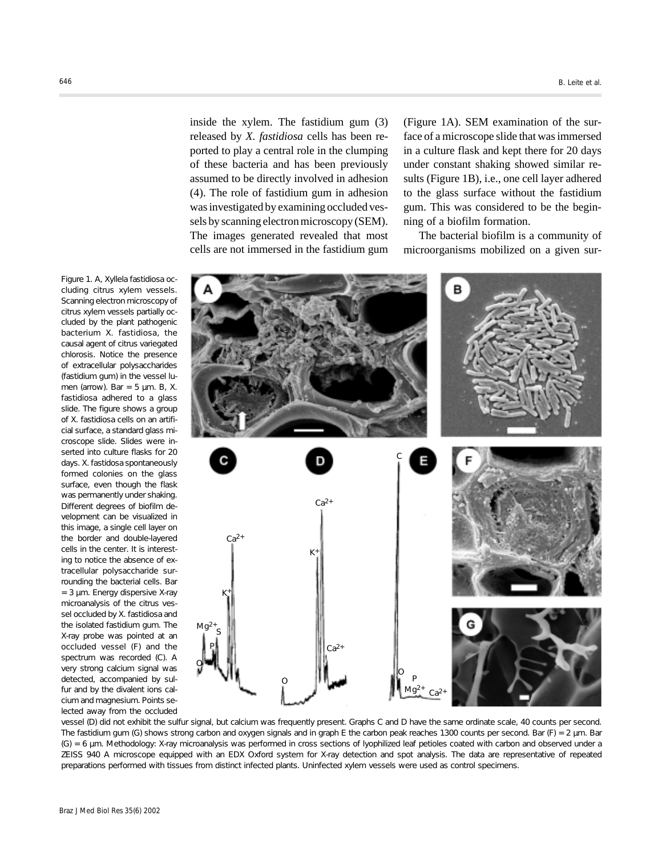inside the xylem. The fastidium gum (3) released by *X. fastidiosa* cells has been reported to play a central role in the clumping of these bacteria and has been previously assumed to be directly involved in adhesion (4). The role of fastidium gum in adhesion was investigated by examining occluded vessels by scanning electron microscopy (SEM). The images generated revealed that most cells are not immersed in the fastidium gum (Figure 1A). SEM examination of the surface of a microscope slide that was immersed in a culture flask and kept there for 20 days under constant shaking showed similar results (Figure 1B), i.e., one cell layer adhered to the glass surface without the fastidium gum. This was considered to be the beginning of a biofilm formation.

The bacterial biofilm is a community of microorganisms mobilized on a given sur-



vessel (D) did not exhibit the sulfur signal, but calcium was frequently present. Graphs *C* and *D* have the same ordinate scale, 40 counts per second. The fastidium gum (G) shows strong carbon and oxygen signals and in graph *E* the carbon peak reaches 1300 counts per second. Bar (F) = 2 µm. Bar (G) = 6 µm. Methodology: X-ray microanalysis was performed in cross sections of lyophilized leaf petioles coated with carbon and observed under a ZEISS 940 A microscope equipped with an EDX Oxford system for X-ray detection and spot analysis. The data are representative of repeated preparations performed with tissues from distinct infected plants. Uninfected xylem vessels were used as control specimens.

Figure 1. *A*, *Xyllela fastidiosa* occluding citrus xylem vessels. Scanning electron microscopy of citrus xylem vessels partially occluded by the plant pathogenic bacterium *X. fastidiosa*, the causal agent of citrus variegated chlorosis. Notice the presence of extracellular polysaccharides (fastidium gum) in the vessel lumen (arrow). Bar = 5 µm. *B*, *X. fastidiosa* adhered to a glass slide. The figure shows a group of *X. fastidiosa* cells on an artificial surface, a standard glass microscope slide. Slides were inserted into culture flasks for 20 days. *X. fastidosa* spontaneously formed colonies on the glass surface, even though the flask was permanently under shaking. Different degrees of biofilm development can be visualized in this image, a single cell layer on the border and double-layered cells in the center. It is interesting to notice the absence of extracellular polysaccharide surrounding the bacterial cells. Bar = 3 µm. Energy dispersive X-ray microanalysis of the citrus vessel occluded by *X. fastidiosa* and the isolated fastidium gum. The X-ray probe was pointed at an occluded vessel (F) and the spectrum was recorded (C). A very strong calcium signal was detected, accompanied by sulfur and by the divalent ions calcium and magnesium. Points selected away from the occluded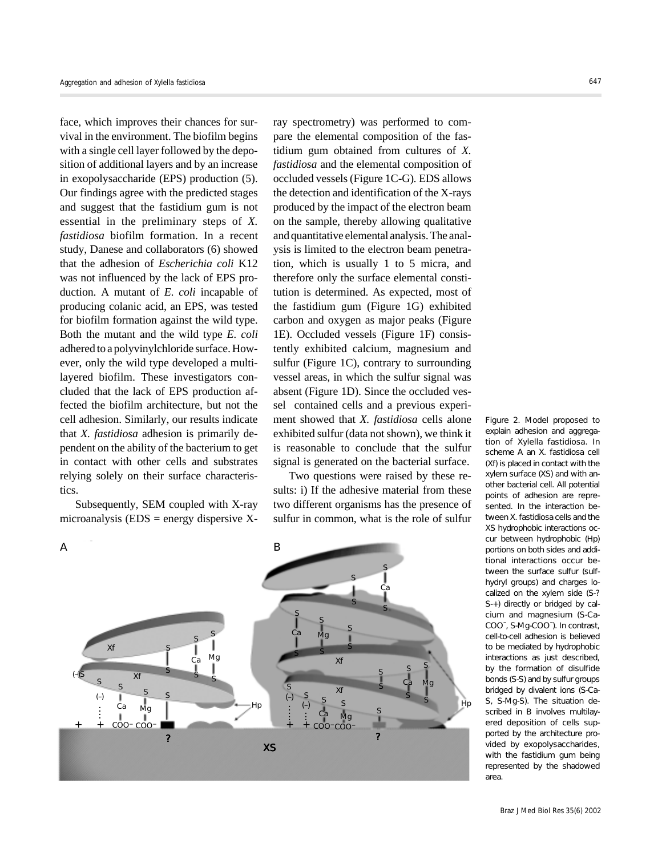face, which improves their chances for survival in the environment. The biofilm begins with a single cell layer followed by the deposition of additional layers and by an increase in exopolysaccharide (EPS) production (5). Our findings agree with the predicted stages and suggest that the fastidium gum is not essential in the preliminary steps of *X. fastidiosa* biofilm formation. In a recent study, Danese and collaborators (6) showed that the adhesion of *Escherichia coli* K12 was not influenced by the lack of EPS production. A mutant of *E. coli* incapable of producing colanic acid, an EPS, was tested for biofilm formation against the wild type. Both the mutant and the wild type *E. coli* adhered to a polyvinylchloride surface. However, only the wild type developed a multilayered biofilm. These investigators concluded that the lack of EPS production affected the biofilm architecture, but not the cell adhesion. Similarly, our results indicate that *X. fastidiosa* adhesion is primarily dependent on the ability of the bacterium to get in contact with other cells and substrates relying solely on their surface characteristics.

Subsequently, SEM coupled with X-ray microanalysis ( $EDS$  = energy dispersive X- ray spectrometry) was performed to compare the elemental composition of the fastidium gum obtained from cultures of *X. fastidiosa* and the elemental composition of occluded vessels (Figure 1C-G)*.* EDS allows the detection and identification of the X-rays produced by the impact of the electron beam on the sample, thereby allowing qualitative and quantitative elemental analysis. The analysis is limited to the electron beam penetration, which is usually 1 to 5 micra, and therefore only the surface elemental constitution is determined. As expected, most of the fastidium gum (Figure 1G) exhibited carbon and oxygen as major peaks (Figure 1E). Occluded vessels (Figure 1F) consistently exhibited calcium, magnesium and sulfur (Figure 1C), contrary to surrounding vessel areas, in which the sulfur signal was absent (Figure 1D). Since the occluded vessel contained cells and a previous experiment showed that *X. fastidiosa* cells alone exhibited sulfur (data not shown), we think it is reasonable to conclude that the sulfur signal is generated on the bacterial surface.

Two questions were raised by these results: i) If the adhesive material from these two different organisms has the presence of sulfur in common, what is the role of sulfur



Figure 2. Model proposed to explain adhesion and aggregation of *Xylella fastidiosa*. In scheme *A* an *X. fastidiosa* cell (Xf) is placed in contact with the xylem surface (XS) and with another bacterial cell. All potential points of adhesion are represented. In the interaction between *X. fastidiosa* cells and the XS hydrophobic interactions occur between hydrophobic (Hp) portions on both sides and additional interactions occur between the surface sulfur (sulfhydryl groups) and charges localized on the xylem side (S-? S-+) directly or bridged by calcium and magnesium (S-Ca-COO- , S-Mg-COO- ). In contrast, cell-to-cell adhesion is believed to be mediated by hydrophobic interactions as just described, by the formation of disulfide bonds (S-S) and by sulfur groups bridged by divalent ions (S-Ca-S, S-Mg-S). The situation described in *B* involves multilayered deposition of cells supported by the architecture provided by exopolysaccharides, with the fastidium gum being represented by the shadowed area.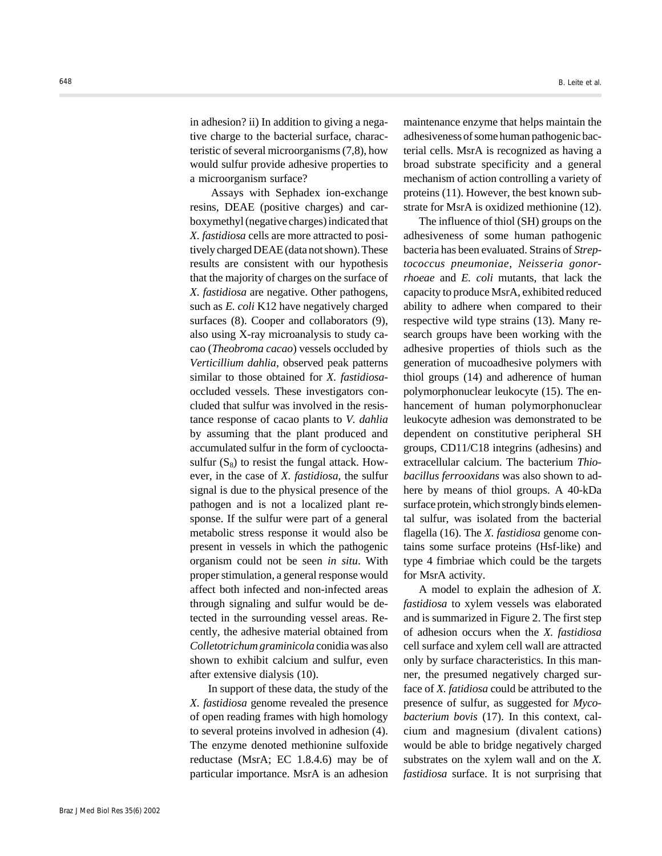in adhesion? ii) In addition to giving a negative charge to the bacterial surface, characteristic of several microorganisms (7,8), how would sulfur provide adhesive properties to a microorganism surface?

 Assays with Sephadex ion-exchange resins, DEAE (positive charges) and carboxymethyl (negative charges) indicated that *X. fastidiosa* cells are more attracted to positively charged DEAE (data not shown). These results are consistent with our hypothesis that the majority of charges on the surface of *X. fastidiosa* are negative. Other pathogens, such as *E. coli* K12 have negatively charged surfaces (8). Cooper and collaborators (9), also using X-ray microanalysis to study cacao (*Theobroma cacao*) vessels occluded by *Verticillium dahlia*, observed peak patterns similar to those obtained for *X. fastidiosa*occluded vessels. These investigators concluded that sulfur was involved in the resistance response of cacao plants to *V. dahlia* by assuming that the plant produced and accumulated sulfur in the form of cyclooctasulfur  $(S_8)$  to resist the fungal attack. However, in the case of *X. fastidiosa*, the sulfur signal is due to the physical presence of the pathogen and is not a localized plant response. If the sulfur were part of a general metabolic stress response it would also be present in vessels in which the pathogenic organism could not be seen *in situ*. With proper stimulation, a general response would affect both infected and non-infected areas through signaling and sulfur would be detected in the surrounding vessel areas. Recently, the adhesive material obtained from *Colletotrichum graminicola* conidia was also shown to exhibit calcium and sulfur, even after extensive dialysis (10).

 In support of these data, the study of the *X. fastidiosa* genome revealed the presence of open reading frames with high homology to several proteins involved in adhesion (4). The enzyme denoted methionine sulfoxide reductase (MsrA; EC 1.8.4.6) may be of particular importance. MsrA is an adhesion maintenance enzyme that helps maintain the adhesiveness of some human pathogenic bacterial cells. MsrA is recognized as having a broad substrate specificity and a general mechanism of action controlling a variety of proteins (11). However, the best known substrate for MsrA is oxidized methionine (12).

The influence of thiol (SH) groups on the adhesiveness of some human pathogenic bacteria has been evaluated. Strains of *Streptococcus pneumoniae*, *Neisseria gonorrhoeae* and *E. coli* mutants, that lack the capacity to produce MsrA, exhibited reduced ability to adhere when compared to their respective wild type strains (13). Many research groups have been working with the adhesive properties of thiols such as the generation of mucoadhesive polymers with thiol groups (14) and adherence of human polymorphonuclear leukocyte (15). The enhancement of human polymorphonuclear leukocyte adhesion was demonstrated to be dependent on constitutive peripheral SH groups, CD11/C18 integrins (adhesins) and extracellular calcium. The bacterium *Thiobacillus ferrooxidans* was also shown to adhere by means of thiol groups. A 40-kDa surface protein, which strongly binds elemental sulfur, was isolated from the bacterial flagella (16). The *X. fastidiosa* genome contains some surface proteins (Hsf-like) and type 4 fimbriae which could be the targets for MsrA activity.

A model to explain the adhesion of *X. fastidiosa* to xylem vessels was elaborated and is summarized in Figure 2. The first step of adhesion occurs when the *X. fastidiosa* cell surface and xylem cell wall are attracted only by surface characteristics. In this manner, the presumed negatively charged surface of *X. fatidiosa* could be attributed to the presence of sulfur, as suggested for *Mycobacterium bovis* (17). In this context, calcium and magnesium (divalent cations) would be able to bridge negatively charged substrates on the xylem wall and on the *X. fastidiosa* surface. It is not surprising that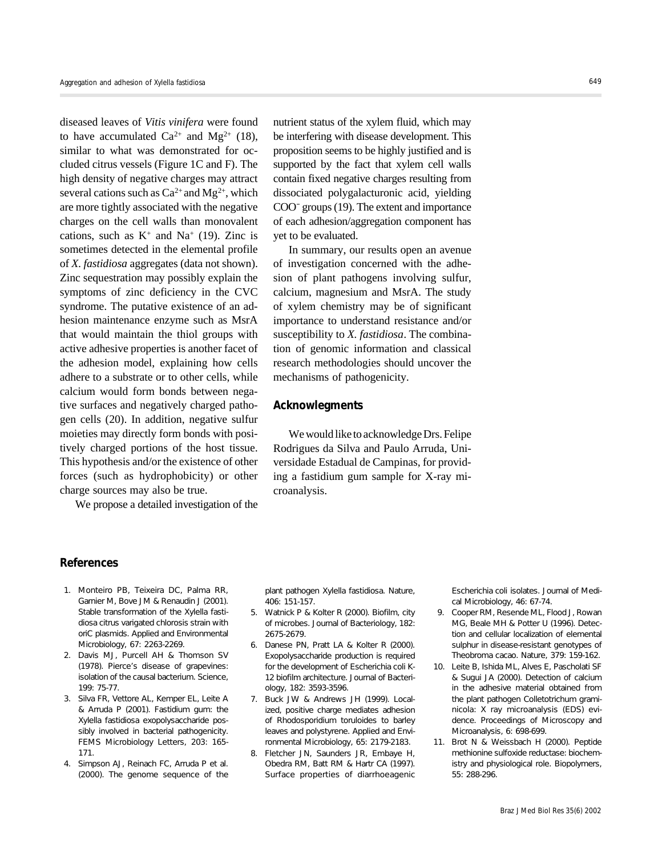diseased leaves of *Vitis vinifera* were found to have accumulated  $Ca^{2+}$  and  $Mg^{2+}$  (18), similar to what was demonstrated for occluded citrus vessels (Figure 1C and F). The high density of negative charges may attract several cations such as  $Ca^{2+}$  and  $Mg^{2+}$ , which are more tightly associated with the negative charges on the cell walls than monovalent cations, such as  $K^+$  and Na<sup>+</sup> (19). Zinc is sometimes detected in the elemental profile of *X. fastidiosa* aggregates (data not shown). Zinc sequestration may possibly explain the symptoms of zinc deficiency in the CVC syndrome. The putative existence of an adhesion maintenance enzyme such as MsrA that would maintain the thiol groups with active adhesive properties is another facet of the adhesion model, explaining how cells adhere to a substrate or to other cells, while calcium would form bonds between negative surfaces and negatively charged pathogen cells (20). In addition, negative sulfur moieties may directly form bonds with positively charged portions of the host tissue. This hypothesis and/or the existence of other forces (such as hydrophobicity) or other charge sources may also be true.

We propose a detailed investigation of the

nutrient status of the xylem fluid, which may be interfering with disease development. This proposition seems to be highly justified and is supported by the fact that xylem cell walls contain fixed negative charges resulting from dissociated polygalacturonic acid, yielding COO- groups (19). The extent and importance of each adhesion/aggregation component has yet to be evaluated.

In summary, our results open an avenue of investigation concerned with the adhesion of plant pathogens involving sulfur, calcium, magnesium and MsrA. The study of xylem chemistry may be of significant importance to understand resistance and/or susceptibility to *X. fastidiosa*. The combination of genomic information and classical research methodologies should uncover the mechanisms of pathogenicity.

## **Acknowlegments**

We would like to acknowledge Drs. Felipe Rodrigues da Silva and Paulo Arruda, Universidade Estadual de Campinas, for providing a fastidium gum sample for X-ray microanalysis.

### **References**

- 1. Monteiro PB, Teixeira DC, Palma RR, Garnier M, Bove JM & Renaudin J (2001). Stable transformation of the *Xylella fastidiosa* citrus varigated chlorosis strain with *oriC* plasmids. *Applied and Environmental Microbiology*, 67: 2263-2269.
- 2. Davis MJ, Purcell AH & Thomson SV (1978). Pierce's disease of grapevines: isolation of the causal bacterium. *Science*, 199: 75-77.
- 3. Silva FR, Vettore AL, Kemper EL, Leite A & Arruda P (2001). Fastidium gum: the *Xylella fastidiosa* exopolysaccharide possibly involved in bacterial pathogenicity. *FEMS Microbiology Letters*, 203: 165- 171.
- 4. Simpson AJ, Reinach FC, Arruda P et al. (2000). The genome sequence of the

plant pathogen *Xylella fastidiosa*. *Nature*, 406: 151-157.

- 5. Watnick P & Kolter R (2000). Biofilm, city of microbes. *Journal of Bacteriology*, 182: 2675-2679.
- 6. Danese PN, Pratt LA & Kolter R (2000). Exopolysaccharide production is required for the development of *Escherichia coli* K-12 biofilm architecture. *Journal of Bacteriology*, 182: 3593-3596.
- 7. Buck JW & Andrews JH (1999). Localized, positive charge mediates adhesion of *Rhodosporidium toruloides* to barley leaves and polystyrene. *Applied and Environmental Microbiology*, 65: 2179-2183.
- 8. Fletcher JN, Saunders JR, Embaye H, Obedra RM, Batt RM & Hartr CA (1997). Surface properties of diarrhoeagenic

*Escherichia coli* isolates. *Journal of Medical Microbiology*, 46: 67-74.

- 9. Cooper RM, Resende ML, Flood J, Rowan MG, Beale MH & Potter U (1996). Detection and cellular localization of elemental sulphur in disease-resistant genotypes of *Theobroma cacao*. *Nature*, 379: 159-162.
- 10. Leite B, Ishida ML, Alves E, Pascholati SF & Sugui JA (2000). Detection of calcium in the adhesive material obtained from the plant pathogen *Colletotrichum graminicola*: X ray microanalysis (EDS) evidence. *Proceedings of Microscopy and Microanalysis*, 6: 698-699.
- 11. Brot N & Weissbach H (2000). Peptide methionine sulfoxide reductase: biochemistry and physiological role. *Biopolymers*, 55: 288-296.